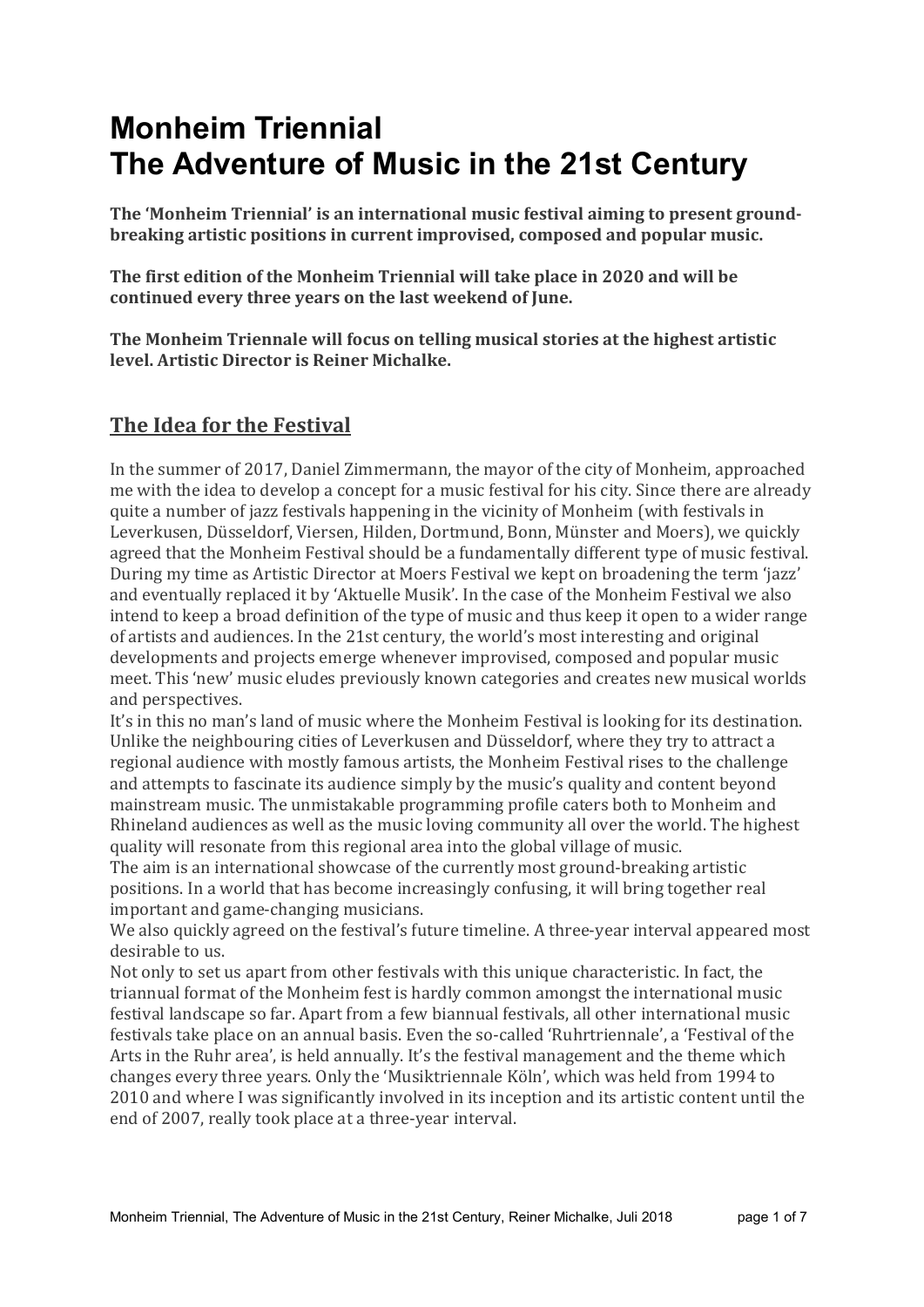# Monheim Triennial The Adventure of Music in the 21st Century

The 'Monheim Triennial' is an international music festival aiming to present groundbreaking artistic positions in current improvised, composed and popular music.

The first edition of the Monheim Triennial will take place in 2020 and will be continued every three years on the last weekend of June.

The Monheim Triennale will focus on telling musical stories at the highest artistic level. Artistic Director is Reiner Michalke.

### The Idea for the Festival

In the summer of 2017, Daniel Zimmermann, the mayor of the city of Monheim, approached me with the idea to develop a concept for a music festival for his city. Since there are already quite a number of jazz festivals happening in the vicinity of Monheim (with festivals in Leverkusen, Düsseldorf, Viersen, Hilden, Dortmund, Bonn, Münster and Moers), we quickly agreed that the Monheim Festival should be a fundamentally different type of music festival. During my time as Artistic Director at Moers Festival we kept on broadening the term 'jazz' and eventually replaced it by 'Aktuelle Musik'. In the case of the Monheim Festival we also intend to keep a broad definition of the type of music and thus keep it open to a wider range of artists and audiences. In the 21st century, the world's most interesting and original developments and projects emerge whenever improvised, composed and popular music meet. This 'new' music eludes previously known categories and creates new musical worlds and perspectives.

It's in this no man's land of music where the Monheim Festival is looking for its destination. Unlike the neighbouring cities of Leverkusen and Düsseldorf, where they try to attract a regional audience with mostly famous artists, the Monheim Festival rises to the challenge and attempts to fascinate its audience simply by the music's quality and content beyond mainstream music. The unmistakable programming profile caters both to Monheim and Rhineland audiences as well as the music loving community all over the world. The highest quality will resonate from this regional area into the global village of music.

The aim is an international showcase of the currently most ground-breaking artistic positions. In a world that has become increasingly confusing, it will bring together real important and game-changing musicians.

We also quickly agreed on the festival's future timeline. A three-year interval appeared most desirable to us.

Not only to set us apart from other festivals with this unique characteristic. In fact, the triannual format of the Monheim fest is hardly common amongst the international music festival landscape so far. Apart from a few biannual festivals, all other international music festivals take place on an annual basis. Even the so-called 'Ruhrtriennale', a 'Festival of the Arts in the Ruhr area', is held annually. It's the festival management and the theme which changes every three years. Only the 'Musiktriennale Köln', which was held from 1994 to 2010 and where I was significantly involved in its inception and its artistic content until the end of 2007, really took place at a three-year interval.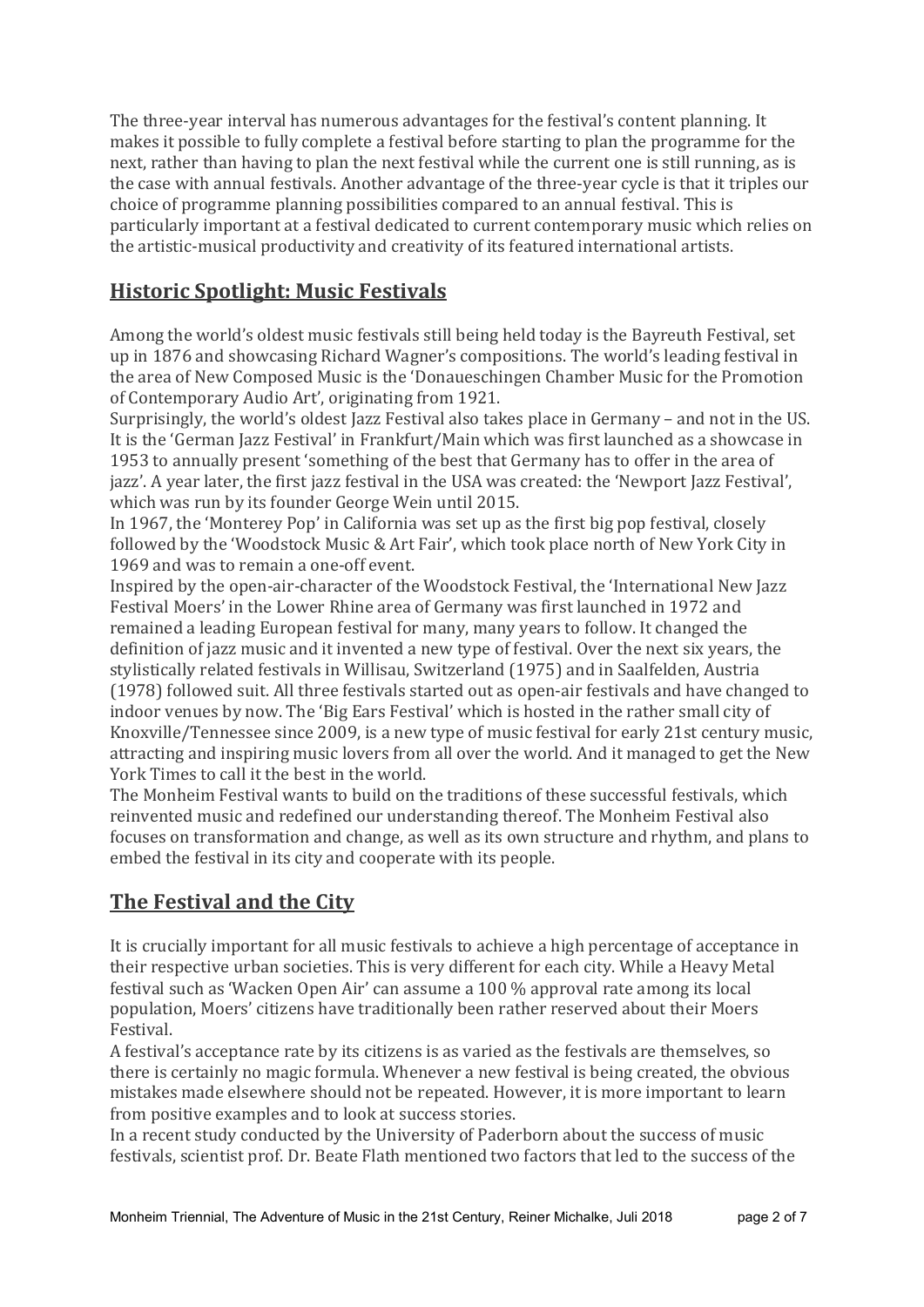The three-year interval has numerous advantages for the festival's content planning. It makes it possible to fully complete a festival before starting to plan the programme for the next, rather than having to plan the next festival while the current one is still running, as is the case with annual festivals. Another advantage of the three-year cycle is that it triples our choice of programme planning possibilities compared to an annual festival. This is particularly important at a festival dedicated to current contemporary music which relies on the artistic-musical productivity and creativity of its featured international artists.

## Historic Spotlight: Music Festivals

Among the world's oldest music festivals still being held today is the Bayreuth Festival, set up in 1876 and showcasing Richard Wagner's compositions. The world's leading festival in the area of New Composed Music is the 'Donaueschingen Chamber Music for the Promotion of Contemporary Audio Art', originating from 1921.

Surprisingly, the world's oldest Jazz Festival also takes place in Germany – and not in the US. It is the 'German Jazz Festival' in Frankfurt/Main which was first launched as a showcase in 1953 to annually present 'something of the best that Germany has to offer in the area of jazz'. A year later, the first jazz festival in the USA was created: the 'Newport Jazz Festival', which was run by its founder George Wein until 2015.

In 1967, the 'Monterey Pop' in California was set up as the first big pop festival, closely followed by the 'Woodstock Music & Art Fair', which took place north of New York City in 1969 and was to remain a one-off event.

Inspired by the open-air-character of the Woodstock Festival, the 'International New Jazz Festival Moers' in the Lower Rhine area of Germany was first launched in 1972 and remained a leading European festival for many, many years to follow. It changed the definition of jazz music and it invented a new type of festival. Over the next six years, the stylistically related festivals in Willisau, Switzerland (1975) and in Saalfelden, Austria (1978) followed suit. All three festivals started out as open-air festivals and have changed to indoor venues by now. The 'Big Ears Festival' which is hosted in the rather small city of Knoxville/Tennessee since 2009, is a new type of music festival for early 21st century music, attracting and inspiring music lovers from all over the world. And it managed to get the New York Times to call it the best in the world.

The Monheim Festival wants to build on the traditions of these successful festivals, which reinvented music and redefined our understanding thereof. The Monheim Festival also focuses on transformation and change, as well as its own structure and rhythm, and plans to embed the festival in its city and cooperate with its people.

## The Festival and the City

It is crucially important for all music festivals to achieve a high percentage of acceptance in their respective urban societies. This is very different for each city. While a Heavy Metal festival such as 'Wacken Open Air' can assume a 100 % approval rate among its local population, Moers' citizens have traditionally been rather reserved about their Moers Festival.

A festival's acceptance rate by its citizens is as varied as the festivals are themselves, so there is certainly no magic formula. Whenever a new festival is being created, the obvious mistakes made elsewhere should not be repeated. However, it is more important to learn from positive examples and to look at success stories.

In a recent study conducted by the University of Paderborn about the success of music festivals, scientist prof. Dr. Beate Flath mentioned two factors that led to the success of the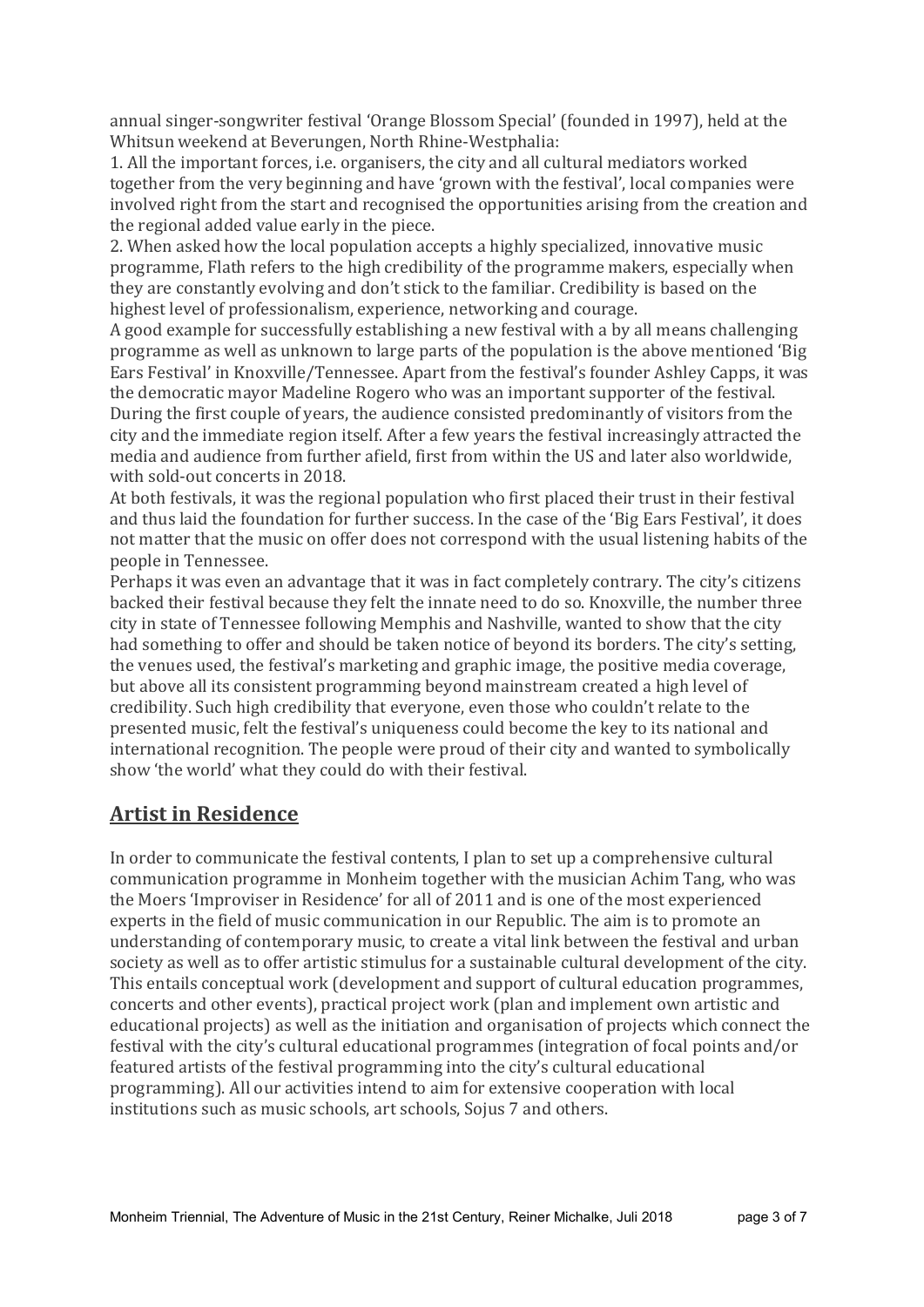annual singer-songwriter festival 'Orange Blossom Special' (founded in 1997), held at the Whitsun weekend at Beverungen, North Rhine-Westphalia:

1. All the important forces, i.e. organisers, the city and all cultural mediators worked together from the very beginning and have 'grown with the festival', local companies were involved right from the start and recognised the opportunities arising from the creation and the regional added value early in the piece.

2. When asked how the local population accepts a highly specialized, innovative music programme, Flath refers to the high credibility of the programme makers, especially when they are constantly evolving and don't stick to the familiar. Credibility is based on the highest level of professionalism, experience, networking and courage.

A good example for successfully establishing a new festival with a by all means challenging programme as well as unknown to large parts of the population is the above mentioned 'Big Ears Festival' in Knoxville/Tennessee. Apart from the festival's founder Ashley Capps, it was the democratic mayor Madeline Rogero who was an important supporter of the festival. During the first couple of years, the audience consisted predominantly of visitors from the city and the immediate region itself. After a few years the festival increasingly attracted the media and audience from further afield, first from within the US and later also worldwide, with sold-out concerts in 2018.

At both festivals, it was the regional population who first placed their trust in their festival and thus laid the foundation for further success. In the case of the 'Big Ears Festival', it does not matter that the music on offer does not correspond with the usual listening habits of the people in Tennessee.

Perhaps it was even an advantage that it was in fact completely contrary. The city's citizens backed their festival because they felt the innate need to do so. Knoxville, the number three city in state of Tennessee following Memphis and Nashville, wanted to show that the city had something to offer and should be taken notice of beyond its borders. The city's setting, the venues used, the festival's marketing and graphic image, the positive media coverage, but above all its consistent programming beyond mainstream created a high level of credibility. Such high credibility that everyone, even those who couldn't relate to the presented music, felt the festival's uniqueness could become the key to its national and international recognition. The people were proud of their city and wanted to symbolically show 'the world' what they could do with their festival.

#### Artist in Residence

In order to communicate the festival contents, I plan to set up a comprehensive cultural communication programme in Monheim together with the musician Achim Tang, who was the Moers 'Improviser in Residence' for all of 2011 and is one of the most experienced experts in the field of music communication in our Republic. The aim is to promote an understanding of contemporary music, to create a vital link between the festival and urban society as well as to offer artistic stimulus for a sustainable cultural development of the city. This entails conceptual work (development and support of cultural education programmes, concerts and other events), practical project work (plan and implement own artistic and educational projects) as well as the initiation and organisation of projects which connect the festival with the city's cultural educational programmes (integration of focal points and/or featured artists of the festival programming into the city's cultural educational programming). All our activities intend to aim for extensive cooperation with local institutions such as music schools, art schools, Sojus 7 and others.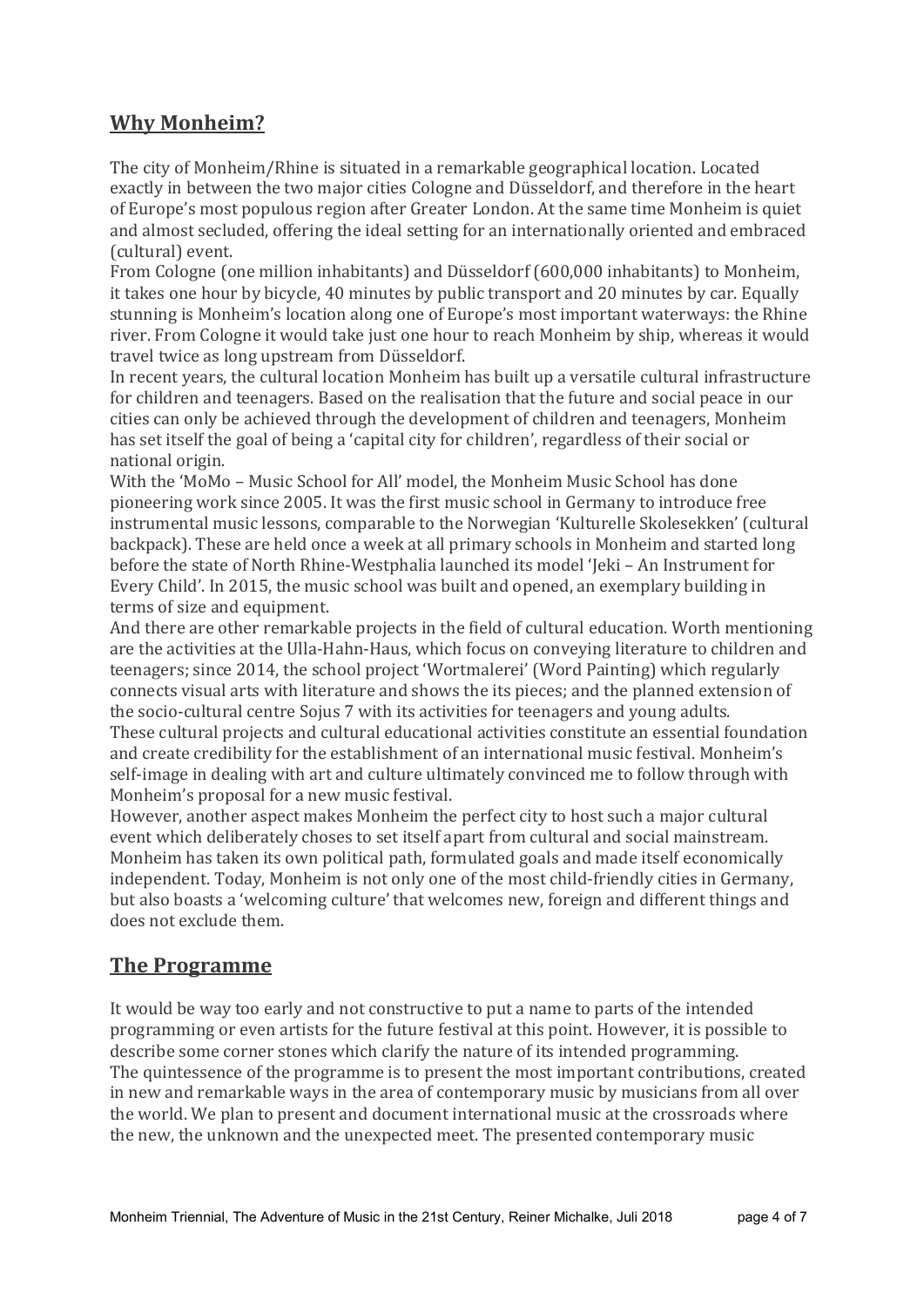#### Why Monheim?

The city of Monheim/Rhine is situated in a remarkable geographical location. Located exactly in between the two major cities Cologne and Düsseldorf, and therefore in the heart of Europe's most populous region after Greater London. At the same time Monheim is quiet and almost secluded, offering the ideal setting for an internationally oriented and embraced (cultural) event.

From Cologne (one million inhabitants) and Düsseldorf (600,000 inhabitants) to Monheim, it takes one hour by bicycle, 40 minutes by public transport and 20 minutes by car. Equally stunning is Monheim's location along one of Europe's most important waterways: the Rhine river. From Cologne it would take just one hour to reach Monheim by ship, whereas it would travel twice as long upstream from Düsseldorf.

In recent years, the cultural location Monheim has built up a versatile cultural infrastructure for children and teenagers. Based on the realisation that the future and social peace in our cities can only be achieved through the development of children and teenagers, Monheim has set itself the goal of being a 'capital city for children', regardless of their social or national origin.

With the 'MoMo – Music School for All' model, the Monheim Music School has done pioneering work since 2005. It was the first music school in Germany to introduce free instrumental music lessons, comparable to the Norwegian 'Kulturelle Skolesekken' (cultural backpack). These are held once a week at all primary schools in Monheim and started long before the state of North Rhine-Westphalia launched its model 'Jeki – An Instrument for Every Child'. In 2015, the music school was built and opened, an exemplary building in terms of size and equipment.

And there are other remarkable projects in the field of cultural education. Worth mentioning are the activities at the Ulla-Hahn-Haus, which focus on conveying literature to children and teenagers; since 2014, the school project 'Wortmalerei' (Word Painting) which regularly connects visual arts with literature and shows the its pieces; and the planned extension of the socio-cultural centre Sojus 7 with its activities for teenagers and young adults.

These cultural projects and cultural educational activities constitute an essential foundation and create credibility for the establishment of an international music festival. Monheim's self-image in dealing with art and culture ultimately convinced me to follow through with Monheim's proposal for a new music festival.

However, another aspect makes Monheim the perfect city to host such a major cultural event which deliberately choses to set itself apart from cultural and social mainstream. Monheim has taken its own political path, formulated goals and made itself economically independent. Today, Monheim is not only one of the most child-friendly cities in Germany, but also boasts a 'welcoming culture' that welcomes new, foreign and different things and does not exclude them.

#### The Programme

It would be way too early and not constructive to put a name to parts of the intended programming or even artists for the future festival at this point. However, it is possible to describe some corner stones which clarify the nature of its intended programming. The quintessence of the programme is to present the most important contributions, created in new and remarkable ways in the area of contemporary music by musicians from all over the world. We plan to present and document international music at the crossroads where the new, the unknown and the unexpected meet. The presented contemporary music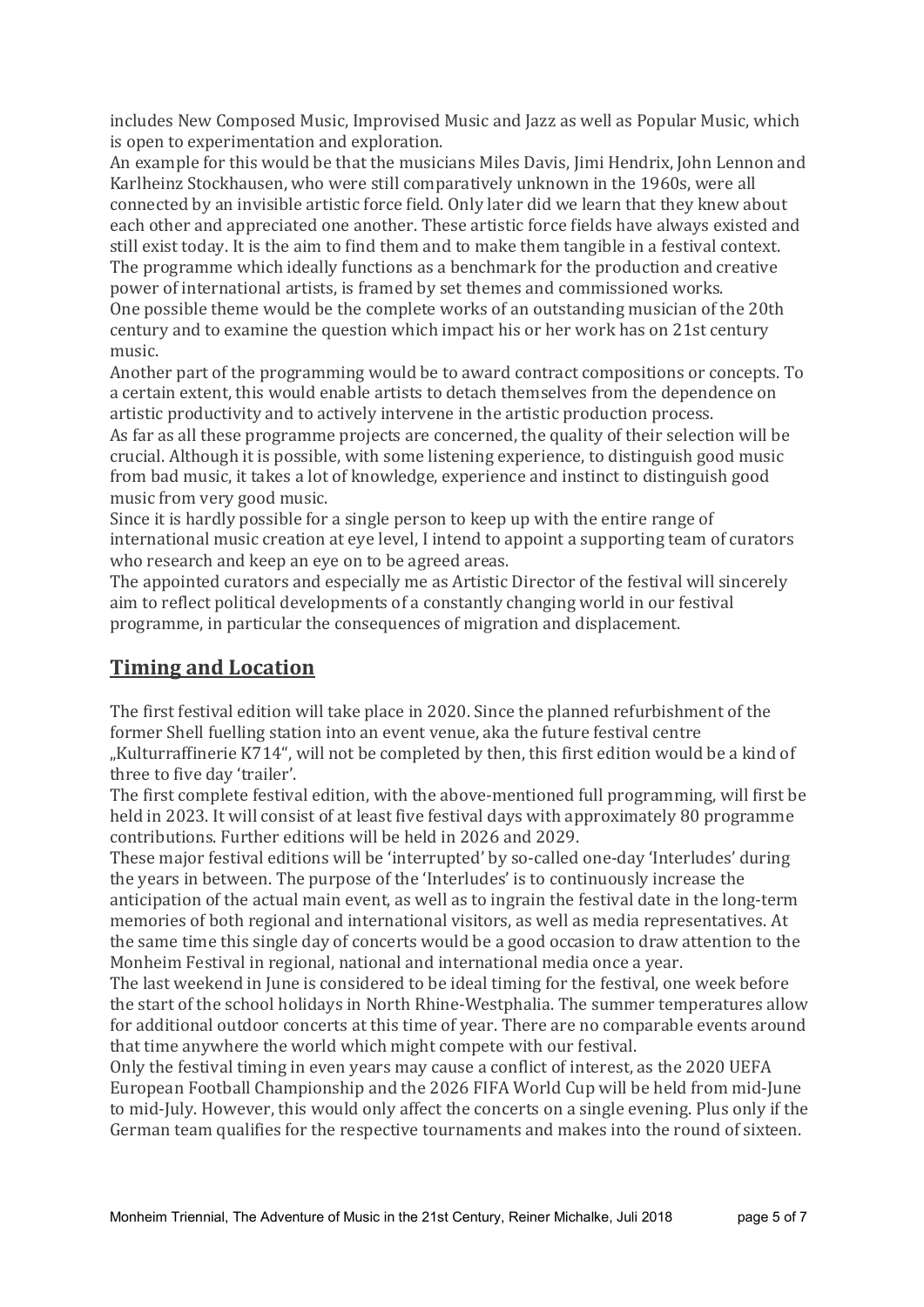includes New Composed Music, Improvised Music and Jazz as well as Popular Music, which is open to experimentation and exploration.

An example for this would be that the musicians Miles Davis, Jimi Hendrix, John Lennon and Karlheinz Stockhausen, who were still comparatively unknown in the 1960s, were all connected by an invisible artistic force field. Only later did we learn that they knew about each other and appreciated one another. These artistic force fields have always existed and still exist today. It is the aim to find them and to make them tangible in a festival context. The programme which ideally functions as a benchmark for the production and creative power of international artists, is framed by set themes and commissioned works. One possible theme would be the complete works of an outstanding musician of the 20th century and to examine the question which impact his or her work has on 21st century music.

Another part of the programming would be to award contract compositions or concepts. To a certain extent, this would enable artists to detach themselves from the dependence on artistic productivity and to actively intervene in the artistic production process.

As far as all these programme projects are concerned, the quality of their selection will be crucial. Although it is possible, with some listening experience, to distinguish good music from bad music, it takes a lot of knowledge, experience and instinct to distinguish good music from very good music.

Since it is hardly possible for a single person to keep up with the entire range of international music creation at eye level, I intend to appoint a supporting team of curators who research and keep an eye on to be agreed areas.

The appointed curators and especially me as Artistic Director of the festival will sincerely aim to reflect political developments of a constantly changing world in our festival programme, in particular the consequences of migration and displacement.

## Timing and Location

The first festival edition will take place in 2020. Since the planned refurbishment of the former Shell fuelling station into an event venue, aka the future festival centre "Kulturraffinerie K714", will not be completed by then, this first edition would be a kind of three to five day 'trailer'.

The first complete festival edition, with the above-mentioned full programming, will first be held in 2023. It will consist of at least five festival days with approximately 80 programme contributions. Further editions will be held in 2026 and 2029.

These major festival editions will be 'interrupted' by so-called one-day 'Interludes' during the years in between. The purpose of the 'Interludes' is to continuously increase the anticipation of the actual main event, as well as to ingrain the festival date in the long-term memories of both regional and international visitors, as well as media representatives. At the same time this single day of concerts would be a good occasion to draw attention to the Monheim Festival in regional, national and international media once a year.

The last weekend in June is considered to be ideal timing for the festival, one week before the start of the school holidays in North Rhine-Westphalia. The summer temperatures allow for additional outdoor concerts at this time of year. There are no comparable events around that time anywhere the world which might compete with our festival.

Only the festival timing in even years may cause a conflict of interest, as the 2020 UEFA European Football Championship and the 2026 FIFA World Cup will be held from mid-June to mid-July. However, this would only affect the concerts on a single evening. Plus only if the German team qualifies for the respective tournaments and makes into the round of sixteen.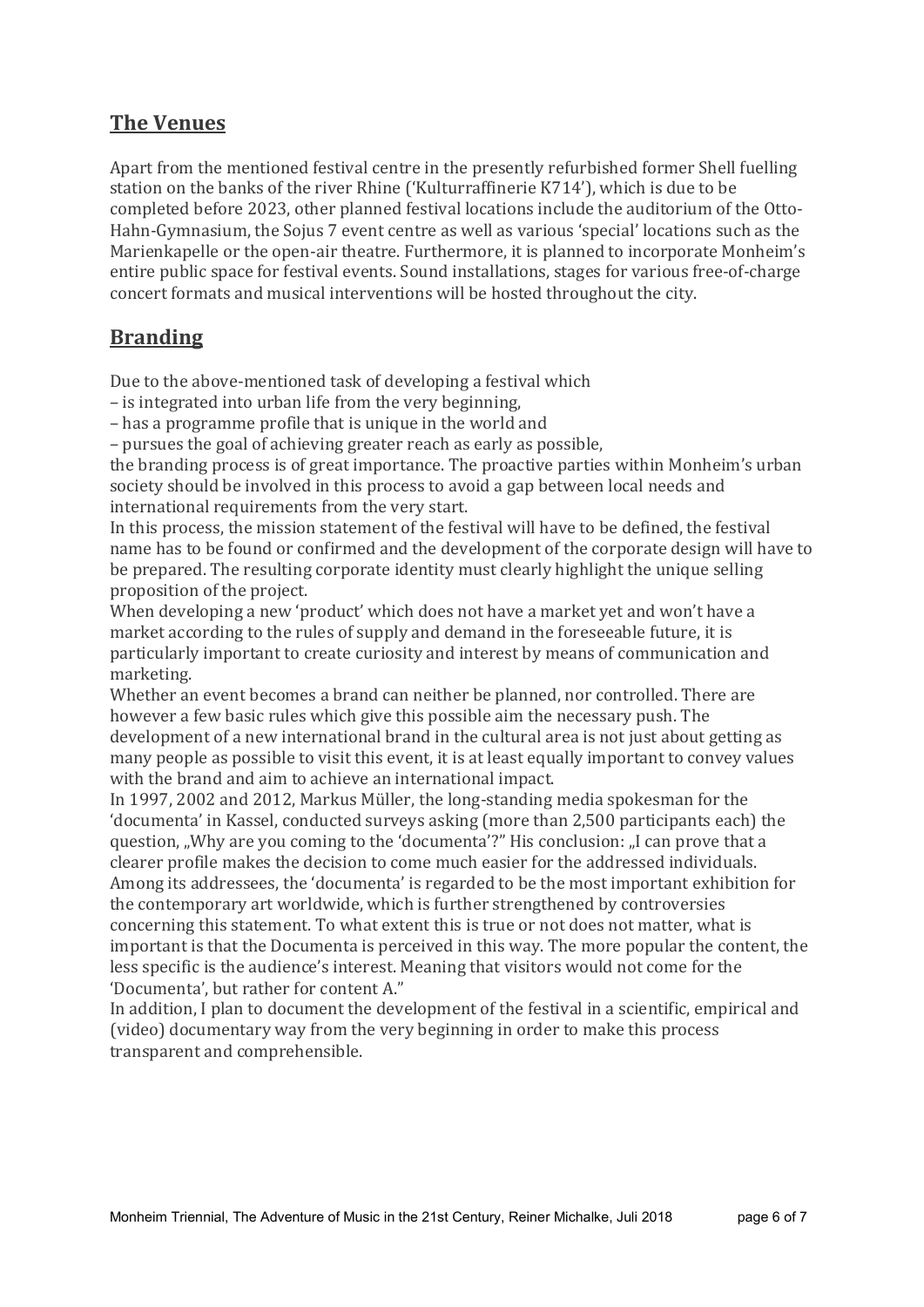#### The Venues

Apart from the mentioned festival centre in the presently refurbished former Shell fuelling station on the banks of the river Rhine ('Kulturraffinerie K714'), which is due to be completed before 2023, other planned festival locations include the auditorium of the Otto-Hahn-Gymnasium, the Sojus 7 event centre as well as various 'special' locations such as the Marienkapelle or the open-air theatre. Furthermore, it is planned to incorporate Monheim's entire public space for festival events. Sound installations, stages for various free-of-charge concert formats and musical interventions will be hosted throughout the city.

#### Branding

Due to the above-mentioned task of developing a festival which

– is integrated into urban life from the very beginning,

– has a programme profile that is unique in the world and

– pursues the goal of achieving greater reach as early as possible,

the branding process is of great importance. The proactive parties within Monheim's urban society should be involved in this process to avoid a gap between local needs and international requirements from the very start.

In this process, the mission statement of the festival will have to be defined, the festival name has to be found or confirmed and the development of the corporate design will have to be prepared. The resulting corporate identity must clearly highlight the unique selling proposition of the project.

When developing a new 'product' which does not have a market yet and won't have a market according to the rules of supply and demand in the foreseeable future, it is particularly important to create curiosity and interest by means of communication and marketing.

Whether an event becomes a brand can neither be planned, nor controlled. There are however a few basic rules which give this possible aim the necessary push. The development of a new international brand in the cultural area is not just about getting as many people as possible to visit this event, it is at least equally important to convey values with the brand and aim to achieve an international impact.

In 1997, 2002 and 2012, Markus Müller, the long-standing media spokesman for the 'documenta' in Kassel, conducted surveys asking (more than 2,500 participants each) the question, "Why are you coming to the 'documenta'?" His conclusion: "I can prove that a clearer profile makes the decision to come much easier for the addressed individuals. Among its addressees, the 'documenta' is regarded to be the most important exhibition for the contemporary art worldwide, which is further strengthened by controversies concerning this statement. To what extent this is true or not does not matter, what is important is that the Documenta is perceived in this way. The more popular the content, the less specific is the audience's interest. Meaning that visitors would not come for the 'Documenta', but rather for content A."

In addition, I plan to document the development of the festival in a scientific, empirical and (video) documentary way from the very beginning in order to make this process transparent and comprehensible.